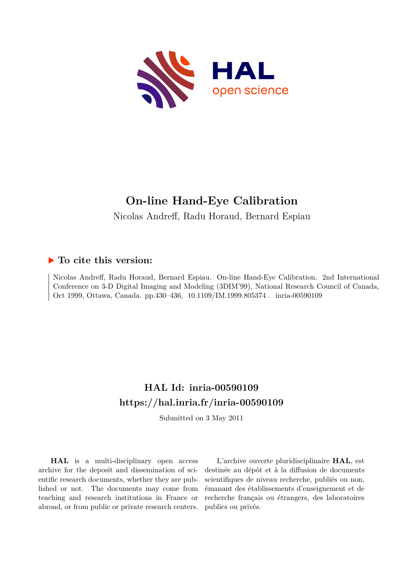

# **On-line Hand-Eye Calibration**

Nicolas Andreff, Radu Horaud, Bernard Espiau

## **To cite this version:**

Nicolas Andreff, Radu Horaud, Bernard Espiau. On-line Hand-Eye Calibration. 2nd International Conference on 3-D Digital Imaging and Modeling (3DIM'99), National Research Council of Canada, Oct 1999, Ottawa, Canada. pp.430-436, 10.1109/IM.1999.805374. inria-00590109

# **HAL Id: inria-00590109 <https://hal.inria.fr/inria-00590109>**

Submitted on 3 May 2011

**HAL** is a multi-disciplinary open access archive for the deposit and dissemination of scientific research documents, whether they are published or not. The documents may come from teaching and research institutions in France or abroad, or from public or private research centers.

L'archive ouverte pluridisciplinaire **HAL**, est destinée au dépôt et à la diffusion de documents scientifiques de niveau recherche, publiés ou non, émanant des établissements d'enseignement et de recherche français ou étrangers, des laboratoires publics ou privés.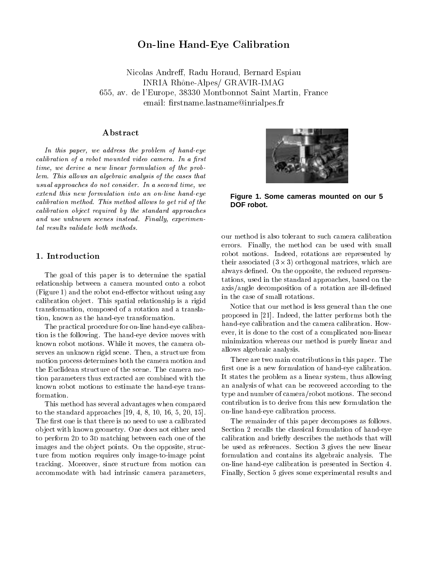### On-line Hand-Eye Calibration

Nicolas Andreff, Radu Horaud, Bernard Espiau INRIA Rh^one-Alpes/ GRAVIR-IMAG 655, av. de l'Europe, 38330 Montbonnot Saint Martin, France email: firstname.lastname@inrialpes.fr

#### Abstract

In this paper, we address the problem of hand-eye calibration of a robot mounted video camera. In a robot mode time, we derive <sup>a</sup> new linear formulation of the problem. This al lows an algebraic analysis of the cases that usual approaches do not considered time, we are not considered time, we extend this new formulation into an on-line hand-eye caller method. This method is method also also the control of the control of the control of the control of the callari approved required by the standard approaches and use under the school of the second ly, we have a second ly, and the second ly

#### 1. Introduction

The goal of this paper is to determine the spatial relationship between <sup>a</sup> camera mounted onto <sup>a</sup> robot (Figure 1) and the robot end-eector without using any calibration ob ject. These spatials relationship is a rigid transformation, composed of <sup>a</sup> rotation and <sup>a</sup> translation, known as the hand-eye transformation.

The practical procedure for on-line hand-eye calibration is the following. The hand-eye device moves with known robot motions. While it moves, the camera observes and unknown right subset of the structure from the structure from the structure from the structure from motion process determines both the camera motion and tion parameters thus extracted are combined with the known robot motions to estimate the hand-eye trans-

This method has several advantages when compared to the standard approaches [19, 4, 8, 10, 16, 5, 20, 15]. The rest of the state is the state of the state of the called the contract of the calibration of the calibration of the calibration of the calibration of the calibration of the calibration of the calibration of the calibra ob ject with known geometry. One does not either need to perform 2d to 3d matching between each one of the images and the ob ject points. On the opposite, struc $t = t$  . The motion requires only image-to-image-point tracking. Moreover, since structure from motion can accommodate with bad intrinsic camera parameters, parameters, parameters,



**Figure 1. Some cameras mounted on our 5 DOF robot.**

errors. Finally, the method can be used with small robot motions. Indeed, rotations are represented by their associated (3 - 3) orthogonal matrices, which are always dened. On the opposite, the reduced representations, used in the standard approaches, based on the axis/angle decomposition of <sup>a</sup> rotation are ill-dened

Notice that our method is less general than the one proposed in [21]. Indeed, the latter performs both the hand-eye calibration and the called called called called called the calibration. ever, it is done to the cost of a complicated non-linear and minimization who was also allowed in the method in the case of the method is purely linear and the contract of allows algebraic analysis.

There are two main contributions in the contribution of the paper. There is rst one is <sup>a</sup> new formulation of hand-eye calibration. It states the problem as <sup>a</sup> linear system, thus allowing an analysis of what can be recovered according to the type and number of camera/robot motions. The second on-line hand-eye calibration process.

The remainder of this paper decomposes as follows. Section <sup>2</sup> recalls the classical formulation of hand-eye calibration and briefing the methods that will be methods the method be used as references. Section <sup>3</sup> gives the new linear formulation and contains its algebraic analysis. The on-line hand-eye calibration is presented in Section 4. Finally, Section <sup>5</sup> gives some experimental results and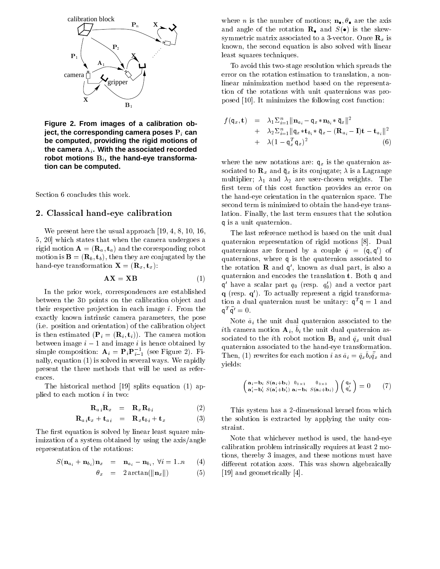

**Figure 2. From images of a calibration object, the corresponding camera poses**  $P_i$  can **be computed, providing the rigid motions of** the camera  $A_i$ . With the associated recorded robot motions B<sub>i</sub>, the hand-eye transforma**tion can be computed.**

Section <sup>6</sup> concludes this work.

#### 2. Classical hand-eye calibration

we present here the usual approach in present the usual approach  $\sim$  19, 10, 10, 10, 10, 10, 10, 10, 10, 16, 1 5, 20] which states that when the camera undergoes <sup>a</sup>  $r_{\rm max}$  motion  $r_{\rm max}$  ( $\omega_{\rm max}$  ) and the corresponding robot  $\mathbf{m}$  is  $\mathbf{m}$  is  $\mathbf{m}$  (Rb), then they are conjugated by the has extended to the contract of the contract  $\lambda = -\frac{d}{dx}$  , the  $\lambda$  is  $\lambda$ 

$$
AX = XB
$$
 (1)

In the prior work, correspondences are established between the 3d points on the calibration ob ject and their respective pro jection in each image i. From the exactly known intrinsic camera parameters, the pose (i.e. position and orientation) of the calibration ob ject is the case of the case  $\{P_{i}\}$  ,  $\{P_{i}\}$  ,  $\{P_{i}\}$  ,  $\{P_{i}\}$  ,  $\{P_{i}\}$  ,  $\{P_{i}\}$  ,  $\{P_{i}\}$  ,  $\{P_{i}\}$  ,  $\{P_{i}\}$  ,  $\{P_{i}\}$  ,  $\{P_{i}\}$  ,  $\{P_{i}\}$  ,  $\{P_{i}\}$  ,  $\{P_{i}\}$  ,  $\{P_{i}\}$  ,  $\{P_{i}\}$  ,  $\{P_{$ between indicated in the second indicated by the indicated by the second by the second by the second by the second by the second by the second by the second by the second by the second by the second by the second by the se simple composition:  $\mathbf{A}_i = \mathbf{P}_i \mathbf{P}_{i-1}$  (see Figure 2). Finally, equation (1) is solved in several ways. We receive the response present the three methods that will be used as references.

The historical method [19] splits equation (1) applied to each motion <sup>i</sup> in two:

$$
\mathbf{R}_{a i} \mathbf{R}_{x} = \mathbf{R}_{x} \mathbf{R}_{b i} \tag{2}
$$

$$
\mathbf{R}_{a i} \mathbf{t}_x + \mathbf{t}_{a i} = \mathbf{R}_x \mathbf{t}_{b i} + \mathbf{t}_x \tag{3}
$$

The rst equation is solved by linear least square minimization of <sup>a</sup> system obtained by using the axis/angle representation of the rotations:

$$
S(\mathbf{n}_{a_i} + \mathbf{n}_{b_i})\mathbf{n}_x = \mathbf{n}_{a_i} - \mathbf{n}_{b_i}, \ \forall i = 1..n \qquad (4)
$$

$$
\theta_x = 2 \arctan(\|\mathbf{n}_x\|) \tag{5}
$$

where n is the number of motions; needed and the axis and angle of the rotation  $\mathbb{F}_2$  and  $\mathbb{F}_3$  is the shew $s$ ymmetric matrix associated to a 3-vector. Once  $\alpha$  is a  $\alpha$  of  $\alpha$ known, the second equation is also solved with linear least squares techniques.

To avoid this two-stage resolution which spreads the error on the rotation estimation to translation, <sup>a</sup> nonlinear minimization method based on the representation of the rotations with unit quaternions was proposed [10]. It minimizes the following cost function:

$$
f(\mathbf{q}_x, \mathbf{t}) = \lambda_1 \Sigma_{i=1}^n \|\mathbf{n}_{a_i} - \mathbf{q}_x \ast \mathbf{n}_{b_i} \ast \bar{\mathbf{q}}_x\|^2
$$
  
+ 
$$
\lambda_2 \Sigma_{i=1}^n \|\mathbf{q}_x \ast \mathbf{t}_{b_i} \ast \bar{\mathbf{q}}_x - (\mathbf{R}_{a_i} - \mathbf{I})\mathbf{t} - \mathbf{t}_{a_i}\|^2
$$
  
+ 
$$
\lambda (1 - \mathbf{q}_x^T \mathbf{q}_x)^2
$$
(6)

where the new notations are  $\mathbf{r}_i$  in the quaternion assumption assumption assumption assumption assumption assumption assumption assumption assumption assumption assumption assumption assumption assumption assumption sociated to  $\mathbb{R}^n$  and  $\mathbb{R}^n$  is the conjugate; its a Lagrange; multipliers; 1 and 2 are user-chosen weights. The chosen rst term of this cost function provides an error on the hand-eye orientation in the quaternion space. The second term is minimized to obtain the hand-eye translation. Finally, the last term ensures that the solution <sup>q</sup> is <sup>a</sup> unit quaternion.

The last refer reference method is the unit due use the unit dual on the unit quaternion representation of rigid motions [8]. Dual quaternions are formed by a couple  $q~=~$  (q, q) of quaternions, where <sup>q</sup> is the quaternion associated to the rotation **K** and q, known as dual part, is also a quaternion and encodes the translation translation to the translation to the translation translation to an  $\bm{{\mathsf{q}}}$  -nave a scalar part  $q_0$  (resp.  $q_0$ ) and a vector part q (resp. q0 ). To actually represent <sup>a</sup> rigid transforma- $_{\rm{u}}$  tion a dual quaternion must be unitary:  $\mathsf{q}^{\scriptscriptstyle{-}}\mathsf{q}^{\scriptscriptstyle{-}}=\mathsf{1}$  and  $\mathsf{q}^{\scriptscriptstyle{-}}\;\mathsf{q}^{\scriptscriptstyle{0}}\,=\,\mathsf{0}.$ 

Note a~i the unit dual quaternion associated to the  $i$ un camera motion  $A_i, v_i$  the unit dual quaternion as $s$  occurs to the full robot motion  $B_{\ell}$  and  $q_{\ell}$  unit dual quaternion associated to the hand-eye transformation. Then, (1) rewrites for each motion *i* as  $u_i = q_x v_i q_x$  and yields:

$$
\begin{pmatrix}\n\mathbf{a}_{i} - \mathbf{b}_{i} S(\mathbf{a}_{i} + \mathbf{b}_{i}) & 0_{3 \times 1} & 0_{3 \times 3} \\
\mathbf{a}_{i}' - \mathbf{b}_{i}' S(\mathbf{a}_{i}' + \mathbf{b}_{i}') \mathbf{a}_{i} - \mathbf{b}_{i} S(\mathbf{a}_{i} + \mathbf{b}_{i})\n\end{pmatrix}\n\begin{pmatrix}\nq_x \\
q_x'\n\end{pmatrix} = 0 \tag{7}
$$

This system is a 2-dimensional kernel from which is a 2-dimensional from which which is a 2-dimensional from which which were which which were when we have a 2-dimensional from which were well as a 2-dimensional from which the solution is extracted by applying the unity constraint.

Note that whichever method is used, the hand-eye calibration problem intrinsically requires at least <sup>2</sup> mo $t$  is the fixed  $\boldsymbol{\beta}$  and  $\boldsymbol{\beta}$  images, and the motion must have motions  $\boldsymbol{\beta}$ dierent rotation and this was shown as shown algebraically and the shown algebraically algebraically algebraically [19] and geometrically [4].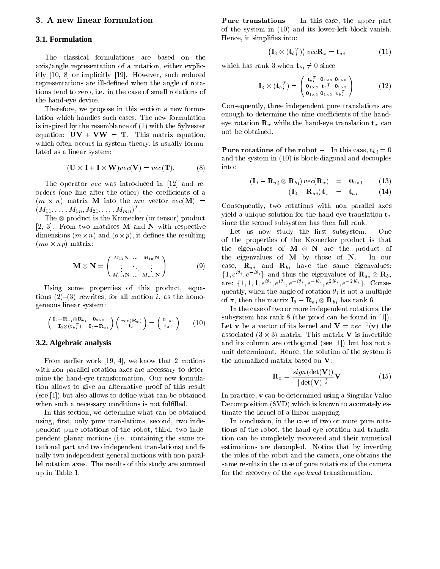#### 3. A new linear formulation

#### **3.1. Formulation**

axis/angle representation of <sup>a</sup> rotation, either explicitly [10, 8] or implicitly [19]. However, such reduced representations are ill-dened when the angle of rotations tend to zero, i.e. in the case of small rotations of the hand-eye device.

Therefore, we propose in this section at the section and the section lation which handles such cases. The new formulation is inspired by the resemblance of (1) with the Sylvester equation: UV + V + V + UV = T. This matrix equation, which is matrix equation, when which of the original in state of the system theory, is usually formulas the system of the system of the system of the system of the system of the system of the system of the system of the system of the system of the syste lated as <sup>a</sup> linear system:

$$
(\mathbf{U} \otimes \mathbf{I} + \mathbf{I} \otimes \mathbf{W})\text{vec}(\mathbf{V}) = \text{vec}(\mathbf{T}).
$$
 (8)

The operator vec was introduced in [12] and reorders (one line after the other) the coecients of <sup>a</sup>  $(m \times n)$  matrix M into the mn vector  $vec(\mathbf{M}) =$  $(M_1_1,\ldots,M_{1n},M_2_1,\ldots,M_{mn})$ 

The  $\otimes$  product is the Kronecker (or tensor) product [2, 3]. From two matrices <sup>M</sup> and <sup>N</sup> with respective dimensions ( $m \times n$ ) and ( $o \times p$ ), it defines the resulting  $(mo \times np)$  matrix:

$$
\mathbf{M} \otimes \mathbf{N} = \begin{pmatrix} M_{11} \mathbf{N} & \dots & M_{1n} \mathbf{N} \\ \vdots & \ddots & \vdots \\ M_{m1} \mathbf{N} & \dots & M_{mn} \mathbf{N} \end{pmatrix}
$$
 (9)

Using some properties of this product, equations (2) (3) rewrites, for wat motions of the homo-motion i geneous linear system:

$$
\begin{pmatrix}\n\mathbf{I}_9 - \mathbf{R}_{a_i} \otimes \mathbf{R}_{b_i} & \mathbf{0}_{9 \times 3} \\
\mathbf{I}_3 \otimes (\mathbf{t}_{b_i}^T) & \mathbf{I}_3 - \mathbf{R}_{a_i}\n\end{pmatrix}\n\begin{pmatrix}\nvec(\mathbf{R}_x) \\
\mathbf{t}_x\n\end{pmatrix} = \begin{pmatrix}\n\mathbf{0}_{9 \times 1} \\
\mathbf{t}_{a_i}\n\end{pmatrix} (10)
$$

#### **3.2. Algebraic analysis**

From earlier work [19, 4], we know that <sup>2</sup> motions with non-parallel rotation and the necessary to determine the hand-eye transformation. Our new formulation allows to give an alternative proof of this result  $\mathcal{L}_{\mathcal{S}}$  and the definition of the definition of the obtained whose canonical canonical canonical canonical canonical canonical canonical canonical canonical canonical canonical canonical canonical canonical canonic when such a necessary conditions is not full leads in the function of  $\alpha$ 

In this section, we determine what can be obtained using, interest with pure translations, second, two independent pendent pure rotations of the robot, third, two independent planar motions (i.e. containing the same rotational part and two independent translations) and  nally two independent general motions with non parallel rotation axes. The results of this study are summed up in Table 1.

**Pure translations**  $-$  In this case, the upper part of the system in (10) which its low-left block vanish. It was Hence, it simplies into:

$$
\left(\mathbf{I}_{3} \otimes \left(\mathbf{t}_{b}^{T}\right)\right) \, \text{vec} \mathbf{R}_{x} = \mathbf{t}_{a} \, \tag{11}
$$

which has rank 3 when  $\mathbf{t}_{bi} \neq 0$  since

$$
\mathbf{I}_3 \otimes (\mathbf{t}_{b_i}^T) = \begin{pmatrix} \mathbf{t}_{b_i}^T & \mathbf{0}_{1 \times 3} & \mathbf{0}_{1 \times 3} \\ \mathbf{0}_{1 \times 3} & \mathbf{t}_{b_i}^T & \mathbf{0}_{1 \times 3} \\ \mathbf{0}_{1 \times 3} & \mathbf{0}_{1 \times 3} & \mathbf{t}_{b_i}^T \end{pmatrix} \tag{12}
$$

Consequently, three independent pure translations are enough to determine the nine coecients of the handeye rotation  $\mathbb{H}_k$  while the hand-eye translation t $_k$  cannot not be obtained.

Pure rotations of the robot { In this case, tb <sup>i</sup> = 0 and the system in (10) is block-diagonal and decouples and decouples and decouples and decouples and into:

$$
(\mathbf{I}_9 - \mathbf{R}_{a i} \otimes \mathbf{R}_{b i}) vec(\mathbf{R}_x) = \mathbf{0}_{9 \times 1}
$$
 (13)

$$
(\mathbf{I}_3 - \mathbf{R}_{a i}) \mathbf{t}_x = \mathbf{t}_{a i} \tag{14}
$$

Consequently, two rotations with non parallel axes  $y$  is a unique solution for the hand-execution translation to  $y$ since the second subsystem has then full rank.

Let us now study the rst subsystem. One of the properties of the first-theory products is the the eigenvalues of  $M \otimes N$  are the product of the eigenvalues of <sup>M</sup> by those of N. In our case,  $R_{\rm eff}$  and  $R_{\rm eff}$  and  $R_{\rm eff}$  is same eigenvalues:  $\{1,e^{i\theta_i},e^{-i\theta_i}\}$  and thus the eigenvalues of  $\mathbf{R}_{a i} \otimes \mathbf{R}_{b i}$ are:  $\{1, 1, 1, e^{i\theta_i}, e^{i\theta_i}, e^{-i\theta_i}, e^{-i\theta_i}, e^{2i\theta_i}, e^{-2i\theta_i}\}\$ . Conse $q$  -and  $q$  , when the angle of rotation is is not an multiplet. of  $\pi$ , then the matrix  $\mathbf{I}_9 - \mathbf{R}_{a i} \otimes \mathbf{R}_{b i}$  has rank 6.

In the case of two or more independent rotations, the  $s$  and  $s$  (the proof can be found in  $s$  and  $s$  and  $s$  and  $s$  in  $s$  in  $s$  in  $s$  in  $s$  in  $s$  in  $s$  in  $s$  in  $s$  in  $s$  in  $s$  in  $s$  in  $s$  in  $s$  in  $s$  in  $s$  in  $s$  in  $s$  in  $s$  in  $s$  in  $s$  in  $s$  in  $s$  Let **v** be a vector of its kernel and  $\mathbf{v} = vec$   $\lnot(\mathbf{v})$  the associated (3  $\times$  3) matrix. This matrix **V** is invertible and its column are orthogonal (see [1]) but has not a not a not a unit determinant. Hence, the system is specific the system in the system is

$$
\mathbf{R}_x = \frac{sign(\det(\mathbf{V}))}{|\det(\mathbf{V})|^{\frac{1}{3}}} \mathbf{V}
$$
 (15)

In practice, <sup>v</sup> can be determined using <sup>a</sup> Singular Value Decomposition (SVD) which is known to accurately estimate the kernel of <sup>a</sup> linear mapping.

In conclusion, in the case of two or more pure rotations of the robot, the hand-eye rotation and translation can be completely recovered and their numerical estimations are decoupled. Notice that by inverting the roles of the robot and the camera, one obtains the same results in the case of pure rotations of the camera for the recovery of the eye-hand transformation.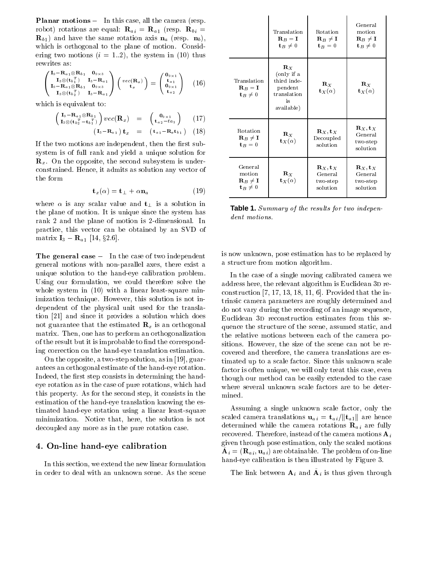**Planar motions**  $-$  In this case, all the camera (resp. robot) rotations are equal:  $\mathbf{R}_{a i} = \mathbf{R}_{a 1}$  (resp.  $\mathbf{R}_{b i} =$  $\mathbf{R}_{b1}$ ) and have the same rotation axis  $\mathbf{n}_a$  (resp.  $\mathbf{n}_b$ ), which is orthogonal to the plane of motion. Considering two motions  $(i = 1..2)$ , the system in (10) thus rewrites as:

$$
\begin{pmatrix}\nI_9 - R_{a_1} \otimes R_{b_1} & 0_{9 \times 3} \\
I_3 \otimes (t_b \tfrac{T}{1}) & I_3 - R_{a_1} \\
I_9 - R_{a_1} \otimes R_{b_1} & 0_{9 \times 3} \\
I_3 \otimes (t_b \tfrac{T}{2}) & I_3 - R_{a_1}\n\end{pmatrix}\n\begin{pmatrix}\nvec(R_x) \\
t_x\n\end{pmatrix} = \begin{pmatrix}\n0_{9 \times 1} \\
t_{a_1} \\
0_{9 \times 1} \\
t_{a_2}\n\end{pmatrix} (16)
$$

which is equivalent to:

$$
\begin{pmatrix}\n\mathbf{I}_9 - \mathbf{R}_{a_1} \otimes \mathbf{R}_{b_1} \\
\mathbf{I}_3 \otimes (\mathbf{t}_b{}_2^T - \mathbf{t}_b{}_1^T)\n\end{pmatrix}\nvec{\mathbf{R}}_x) = \begin{pmatrix}\n\mathbf{0}_{9 \times 1} \\
\mathbf{t}_{a_2} - ta_1\n\end{pmatrix} (17) \n(\mathbf{I}_3 - \mathbf{R}_{a_1})\mathbf{t}_x = (\mathbf{t}_{a_1} - \mathbf{R}_{a}\mathbf{t}_{b_1}) (18)
$$

If the two motions are independent, then the first subsystem is of full rank and yield a unique solution for  $\mathbf{R}_r$ . On the opposite, the second subsystem is underconstrained. Hence, it admits as solution any vector of the form

$$
\mathbf{t}_x(\alpha) = \mathbf{t}_\perp + \alpha \mathbf{n}_a \tag{19}
$$

where  $\alpha$  is any scalar value and  $t_{\perp}$  is a solution in the plane of motion. It is unique since the system has rank 2 and the plane of motion is 2-dimensional. In practice, this vector can be obtained by an SVD of matrix  $I_3 - R_{a1}$  [14, §2.6].

The general case  $\frac{1}{2}$  In the case of two independent general motions with non-parallel axes, there exist a unique solution to the hand-eye calibration problem. Using our formulation, we could therefore solve the whole system in  $(10)$  with a linear least-square minimization technique. However, this solution is not independent of the physical unit used for the translation [21] and since it provides a solution which does not guarantee that the estimated  $\mathbf{R}_x$  is an orthogonal matrix. Then, one has to perform an orthogonalization of the result but it is improbable to find the corresponding correction on the hand-eye translation estimation.

On the opposite, a two-step solution, as in [19], guarantees an orthogonal estimate of the hand-eye rotation. Indeed, the first step consists in determining the handeye rotation as in the case of pure rotations, which had this property. As for the second step, it consists in the estimation of the hand-eye translation knowing the estimated hand-eye rotation using a linear least-square minimization. Notice that, here, the solution is not decoupled any more as in the pure rotation case.

#### 4. On-line hand-eye calibration

In this section, we extend the new linear formulation in order to deal with an unknown scene. As the scene

|                                                                              | Translation<br>$\mathbf{R}_B = \mathbf{I}$<br>$t_B \neq 0$                                | Rotation<br>$\mathbf{R}_B\,\neq\,\mathbf{I}$<br>$t_B=0$    | General<br>motion<br>$\mathbf{R}_B \neq \mathbf{I}$<br>$t_B \neq 0$ |
|------------------------------------------------------------------------------|-------------------------------------------------------------------------------------------|------------------------------------------------------------|---------------------------------------------------------------------|
| Translation<br>$\mathbf{R}_B = \mathbf{I}$<br>$t_B \neq 0$                   | $\mathbf{R}_X$<br>(only if a<br>third inde-<br>pendent<br>translation<br>is<br>available) | $\mathbf{R}_X$<br>$\mathbf{t}_X(\alpha)$                   | $\mathbf{R}_X$<br>$\mathbf{t}_X(\alpha)$                            |
| Rotation<br>$\mathbf{R}_B \neq \mathbf{I}$<br>$t_B = 0$                      | $\mathbf{R}_X$<br>$\mathbf{t}_X(\alpha)$                                                  | $\mathbf{R}_X, \mathbf{t}_X$<br>Decoupled<br>solution      | $\mathbf{R}_X, \mathbf{t}_X$<br>General<br>two-step<br>solution     |
| General<br>motion<br>$\mathbf{R}_B \neq \mathbf{I}$<br>$\mathbf{t}_B \neq 0$ | $\mathbf{R}_X$<br>$\mathbf{t}_X(\alpha)$                                                  | $\mathbf{R}_X$ , t $_X$<br>General<br>two-step<br>solution | ${\bf R}_X$ , t $_X$<br>General<br>two-step<br>solution             |

**Table 1.** Summary of the results for two independent motions.

is now unknown, pose estimation has to be replaced by a structure from motion algorithm.

In the case of a single moving calibrated camera we address here, the relevant algorithm is Euclidean 3D reconstruction  $[7, 17, 13, 18, 11, 6]$ . Provided that the intrinsic camera parameters are roughly determined and do not vary during the recording of an image sequence, Euclidean 3D reconstruction estimates from this sequence the structure of the scene, assumed static, and the relative motions between each of the camera positions. However, the size of the scene can not be recovered and therefore, the camera translations are estimated up to a scale factor. Since this unknown scale factor is often unique, we will only treat this case, even though our method can be easily extended to the case where several unknown scale factors are to be determined.

Assuming a single unknown scale factor, only the scaled camera translations  $\mathbf{u}_{ai} = \mathbf{t}_{ai}/\|\mathbf{t}_{a1}\|$  are hence determined while the camera rotations  $\mathbf{R}_{ai}$  are fully recovered. Therefore, instead of the camera motions  $A_i$ given through pose estimation, only the scaled motions  ${\bf A}_i = ({\bf R}_a{}_i, {\bf u}_a{}_i)$  are obtainable. The problem of on-line hand-eye calibration is then illustrated by Figure 3.

The link between  $A_i$  and  $A_i$  is thus given through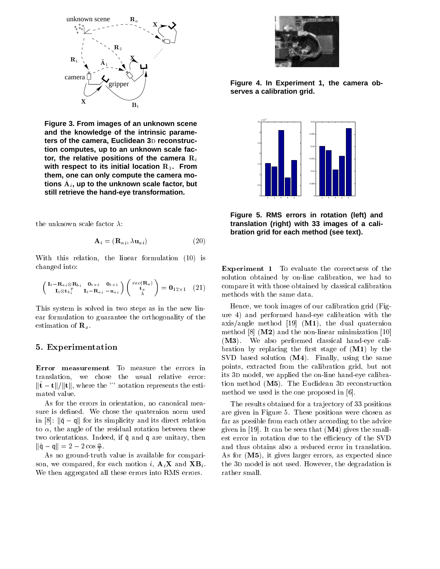

**Figure 3. From images of an unknown scene and the knowledge of the intrinsic parame**ters of the camera, Euclidean 3D reconstruc**tion computes, up to an unknown scale fac**tor, the relative positions of the camera  $R_i$ with respect to its initial location R<sub>1</sub>. From **them, one can only compute the camera motions** A~ <sup>i</sup> **, up to the unknown scale factor, but still retrieve the hand-eye transformation.**

$$
\mathbf{A}_{i} = (\mathbf{R}_{a i}, \lambda \mathbf{u}_{a i}) \tag{20}
$$

With this relation, the linear formulation (10) is changed into:

$$
\begin{pmatrix}\n\mathbf{I}_9 - \mathbf{R}_{a i} \otimes \mathbf{R}_{b i} & \mathbf{0}_{9 \times 3} & \mathbf{0}_{3 \times 1} \\
\mathbf{I}_3 \otimes \mathbf{t}_{b i}^T & \mathbf{I}_3 - \mathbf{R}_{a i} & -\mathbf{u}_{a i}\n\end{pmatrix}\n\begin{pmatrix}\nvec(\mathbf{R}_x) \\
\mathbf{t}_x \\
\lambda\n\end{pmatrix} = \mathbf{0}_{12 \times 1} \quad (21)
$$

This system is solved in two steps as in the new linear formulation to guarantee the orthogonality of the estimation of  $\mathbf{R}_x$ .

#### 5. Experimentation

Error measurement To measure the errors in translation, we chose the usual relative error:  $\|\hat{\mathbf{t}}-\mathbf{t}\|/\|\mathbf{t}\|$ , where the '<sup>'</sup> notation represents the estimated value.

As for the errors in orientation, no canonical measure is defined. We chose the quaternion norm used in [8]:  $\|\hat{\mathbf{q}} - \mathbf{q}\|$  for its simplicity and its direct relation to  $\alpha$ , the angle of the residual rotation between these two orientations. Indeed, if  $\hat{q}$  and q are unitary, then  $\|q - q\| = 2 - 2 \cos \pi$ .

As no ground-truth value is available for comparison, we compared, for each motion i,  $\mathbf{A}_i \mathbf{X}$  and  $\mathbf{X} \mathbf{B}_i$ . We then aggregated all these errors into RMS errors.



**Figure 4. In Experiment 1, the camera observes a calibration grid.**



**Figure 5. RMS errors in rotation (left) and translation (right) with 33 images of a calibration grid for each method (see text).**

Experiment 1 To evaluate the correctness of the solution obtained by on-line calibration, we had to compare it with those obtained by classical calibration methods with the same data.

Hence, we took images of our calibration grid (Figure 4) and performed hand-eye calibration with the axis/angle method  $[19]$  (M1), the dual quaternion method  $[8]$  (M2) and the non-linear minimization  $[10]$ (M3). We also performed classical hand-eye calibration by replacing the first stage of  $(M1)$  by the SVD based solution (M4). Finally, using the same points, extracted from the calibration grid, but not its 3D model, we applied the on-line hand-eye calibration method  $(M5)$ . The Euclidean 3D reconstruction method we used is the one proposed in [6].

The results obtained for a trajectory of 33 positions are given in Figure 5. These positions were chosen as far as possible from each other according to the advice given in  $[19]$ . It can be seen that  $(M4)$  gives the smallest error in rotation due to the efficiency of the SVD and thus obtains also a reduced error in translation. As for (M5), it gives larger errors, as expected since the 3D model is not used. However, the degradation is rather small.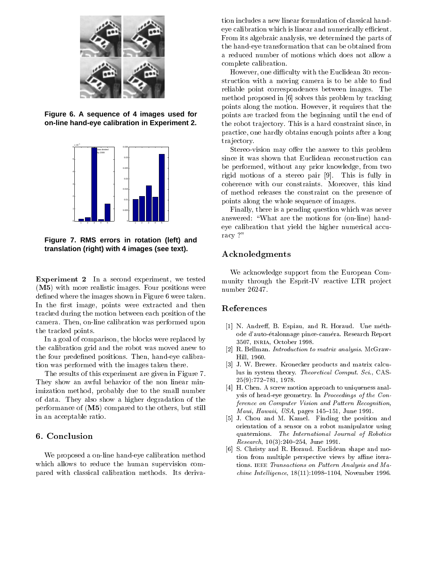

**Figure 6. A sequence of 4 images used for on-line hand-eye calibration in Experiment 2.**



**Figure 7. RMS errors in rotation (left) and translation (right) with 4 images (see text).**

Experiment <sup>2</sup> In <sup>a</sup> second experiment, we tested (M5) with more realistic images. Four positions were de where we have also shown in Figure 6 were taken. The images of the images of the images of the interest of the interest of the interest of the interest of the interest of the interest of the interest of the interest of In the anti- and the state of the state were the the the theories of the theories were the the theories of the tracked during the motion between each position of the camera. Then, on-line calibration was performed upon the tracked points.

In <sup>a</sup> goal of comparison, the blocks were replaced by the calibration and grid and the robot was moved and the robot was moved and the four predened positions. Then, hand-eye calibration was performed with the there is the images that the there is

The results of this experiment are given in Figure 7. They show as well bear that the non-linear mini-linear mini-linear mini-linear mini-linear mini-linear mini-li imization method, probably due to the small number of data. They also show <sup>a</sup> higher degradation of the performance of (M5) compared to the others, but still in an acceptable ratio.

We proposed <sup>a</sup> on-line hand-eye calibration method which allows to reduce the human supervision compared with classical calibration methods. Its derivation in the case of the most classical included a new view of classical classical handeye calibration which is linear and numerical which is linear calibration called the control of From its algebraic analysis, we determined the parts of the hand-eye transformation that can be obtained from a reduced number of motions which does not all motions which do complete called complete called the complete called the complete calibration. In the complete called the complete calibration of the complete calibration of the complete calibration of the complete calibration of the compl

However, one diculty with the Euclidean 3d reconstruction with a moving communication of the above to the reliable point correspondences between images. The method proposed in [6] solves this problem by tracking points along the motion. However, it requires that the points are tracked from the beginning until the end of the robot tra jectory. This is <sup>a</sup> hard constraint since, in practice, one hardly obtains enough points after <sup>a</sup> long tra jectory.

Stereo-vision may oer the answer to this problem since it was shown that the extent and the construction of the construction can reconstructed to the construction of the construction of the construction of the construction of the construction of the construction of the c be performed, without any prior knowledge, from two rigid motions of <sup>a</sup> stereo pair [9]. This is fully in comerce with our comercialists. Moreover, this come t of method releases the constraint on the presence of points along the whole sequence of images.

Finally, there is <sup>a</sup> pending question which was never answered: \What are the motions for (on-line) handeye calibration that yield the large many accuracy accuracy to the the higher  $\alpha$ racy ?"

### Acknoledgments

We acknowledge support from the European Community through the Esprit-IV reactive LTR pro ject

#### References

- [1] N. Andreff, B. Espiau, and R. Horaud. Une methode d'auto-etalonnage pince-camera. Research Report 3507, inria, October 1998.
- [2] R. Bellman. Introduction to matrix analysis. McGraw-Hill, 1960.
- [3] J. W. Brewer. Kronecker products and matrix calculus in system theory. Theoretical Comput. Sci., CAS- $25(9)$ :772-781, 1978.
- [4] H. Chen. A screw motion approach to uniqueness analysis of head-eye geometry. In Proceedings of the Conference on Computer Vision and Pattern Recognition, Maui, Hawaii, USA, pages  $145-151$ , June 1991.
- [5] J. Chou and M. Kamel. Finding the position and orientation of a sensor on a robot manipulator using quaternions. The International Journal of Robotics Research,  $10(3):240-254$ , June 1991.
- [6] S. Christy and R. Horaud. Euclidean shape and motion from multiple perspective views by affine iterations. IEEE Transactions on Pattern Analysis and Machine Intelligence,  $18(11):1098-1104$ , November 1996.